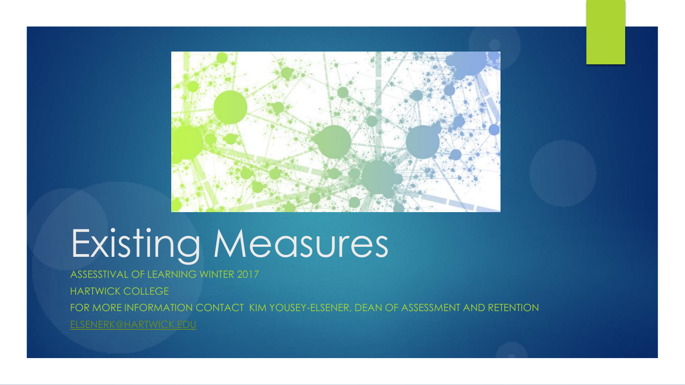

# Existing Measures

ASSESSTIVAL OF LEARNING WINTER 2017 HARTWICK COLLEGE FOR MORE INFORMATION CONTACT KIM YOUSEY-ELSENER, DEAN OF ASSESSMENT AND RETENTION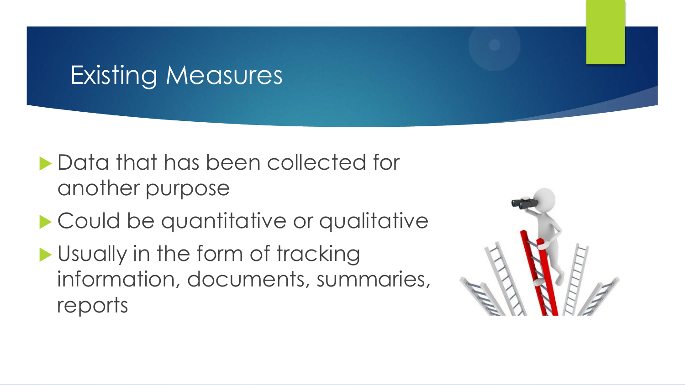# Existing Measures

- **Data that has been collected for** another purpose
- **Could be quantitative or qualitative**
- Usually in the form of tracking information, documents, summaries, reports

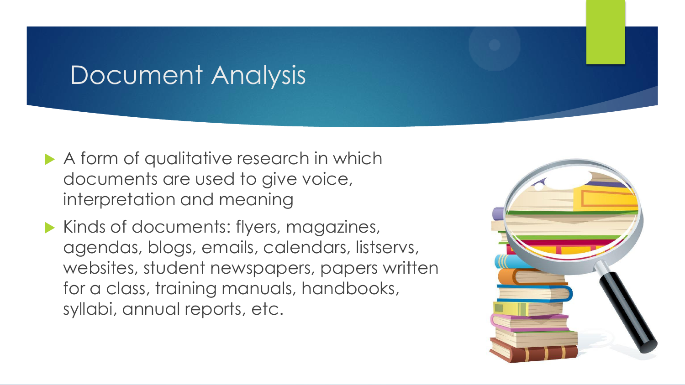#### Document Analysis

- A form of qualitative research in which documents are used to give voice, interpretation and meaning
- Kinds of documents: flyers, magazines, agendas, blogs, emails, calendars, listservs, websites, student newspapers, papers written for a class, training manuals, handbooks, syllabi, annual reports, etc.

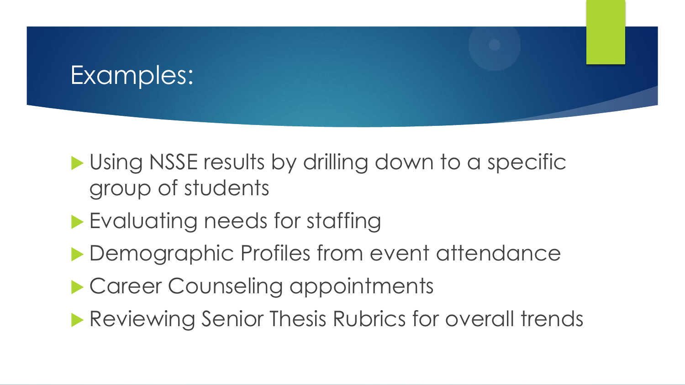## Examples:

#### **I** Using NSSE results by drilling down to a specific group of students

- **Evaluating needs for staffing**
- ▶ Demographic Profiles from event attendance
- ▶ Career Counseling appointments
- **Reviewing Senior Thesis Rubrics for overall trends**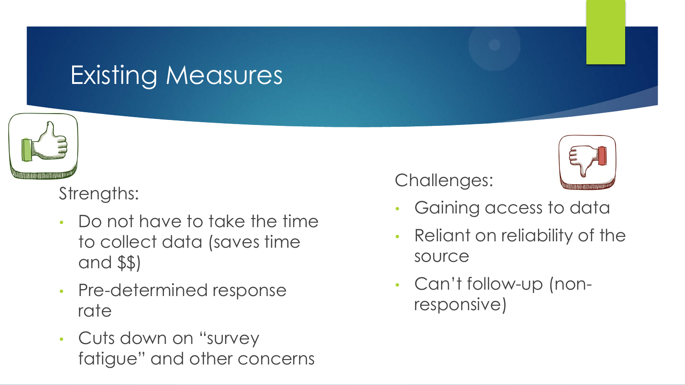# **Existing Measures**



Strengths:

- Do not have to take the time to collect data (saves time and \$\$)
- Pre-determined response rate
- Cuts down on "survey fatigue" and other concerns

Challenges:



- Gaining access to data
- Reliant on reliability of the source
- Can't follow-up (nonresponsive)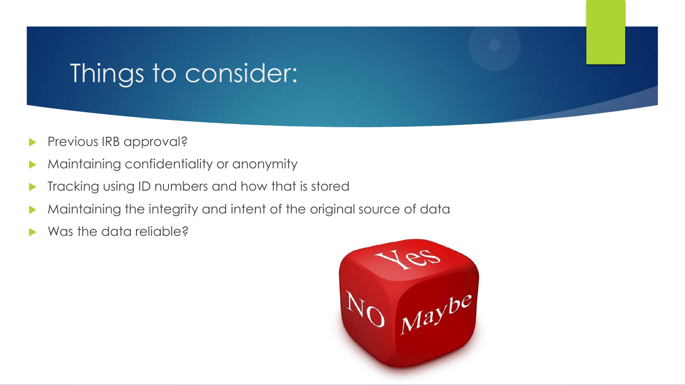## Things to consider:

- Previous IRB approval?
- Maintaining confidentiality or anonymity
- Tracking using ID numbers and how that is stored
- Maintaining the integrity and intent of the original source of data
- Was the data reliable?

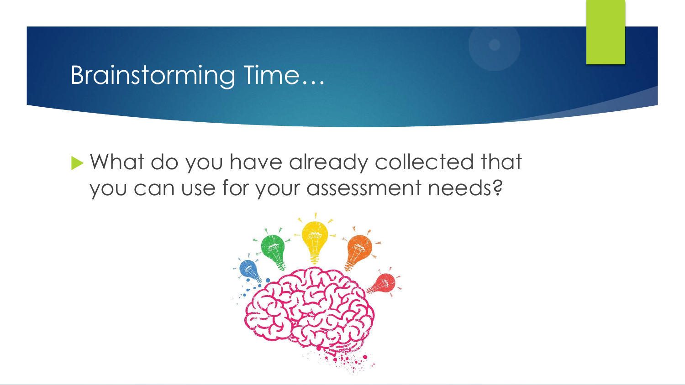### Brainstorming Time…

#### What do you have already collected that you can use for your assessment needs?